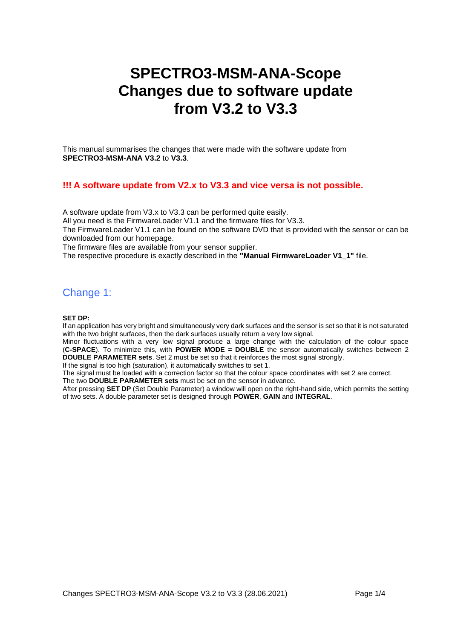# **SPECTRO3-MSM-ANA-Scope Changes due to software update from V3.2 to V3.3**

This manual summarises the changes that were made with the software update from **SPECTRO3-MSM-ANA V3.2** to **V3.3**.

## **!!! A software update from V2.x to V3.3 and vice versa is not possible.**

A software update from V3.x to V3.3 can be performed quite easily. All you need is the FirmwareLoader V1.1 and the firmware files for V3.3. The FirmwareLoader V1.1 can be found on the software DVD that is provided with the sensor or can be downloaded from our homepage. The firmware files are available from your sensor supplier.

The respective procedure is exactly described in the **"Manual FirmwareLoader V1\_1"** file.

## Change 1:

#### **SET DP:**

If an application has very bright and simultaneously very dark surfaces and the sensor is set so that it is not saturated with the two bright surfaces, then the dark surfaces usually return a very low signal.

Minor fluctuations with a very low signal produce a large change with the calculation of the colour space (**C-SPACE**). To minimize this, with **POWER MODE = DOUBLE** the sensor automatically switches between 2 **DOUBLE PARAMETER sets**. Set 2 must be set so that it reinforces the most signal strongly.

If the signal is too high (saturation), it automatically switches to set 1.

The signal must be loaded with a correction factor so that the colour space coordinates with set 2 are correct. The two **DOUBLE PARAMETER sets** must be set on the sensor in advance.

After pressing **SET DP** (Set Double Parameter) a window will open on the right-hand side, which permits the setting of two sets. A double parameter set is designed through **POWER**, **GAIN** and **INTEGRAL**.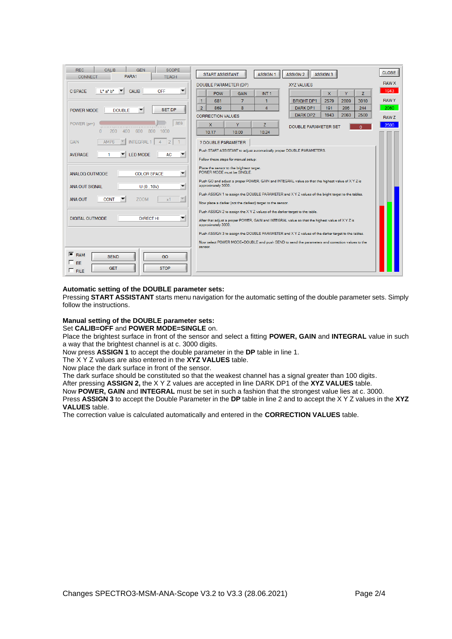| <b>REC</b><br><b>CALIB</b><br><b>GFN</b><br><b>SCOPE</b><br>PARA1<br><b>CONNECT</b><br><b>TFACH</b> | <b>ASSIGN 1</b><br><b>START ASSISTANT</b><br>ASSIGN <sub>2</sub><br><b>ASSIGN 3</b>                                     | <b>CLOSE</b> |
|-----------------------------------------------------------------------------------------------------|-------------------------------------------------------------------------------------------------------------------------|--------------|
|                                                                                                     | <b>XYZ VALUES</b><br>DOUBLE PARAMETER (DP)                                                                              | <b>RAW X</b> |
| $L^*$ a* $b^*$<br><b>CALIB</b><br>OFF<br><b>C SPACE</b><br>▼                                        | <b>POW</b><br>Y.<br><b>GAIN</b><br>INT <sub>1</sub><br>$\mathbf{x}$<br>z                                                | 1943         |
|                                                                                                     | $\mathbf{1}$<br>$\overline{7}$<br><b>BRIGHT DP1</b><br>2809<br>3010<br>681<br>2579<br>1                                 | <b>RAWY</b>  |
| <b>SET DP</b><br><b>DOUBLE</b><br>POWER MODE                                                        | $\overline{2}$<br>$\mathbf{R}$<br>869<br>$\Delta$<br>DARK DP1<br>206<br>191<br>244                                      | 2060         |
|                                                                                                     | DARK DP2<br>1943<br>2060<br>2500<br><b>CORRECTION VALUES</b>                                                            | <b>RAWZ</b>  |
| 869<br>POWER (pm)<br>րուսը ուսը ուսը ուսը ուսը մա                                                   | <b>X</b><br>Y<br>Z.<br><b>DOUBLE PARAMETER SET</b>                                                                      | 2500         |
| 200<br>400<br>600<br>800<br>$\Omega$<br>1000                                                        | 10.00<br>10.17<br>10.24                                                                                                 |              |
| <b>INTEGRAL 1</b><br><b>GAIN</b><br>AMP <sub>8</sub><br>$\overline{2}$                              | ? DOUBLE PARAMETER                                                                                                      |              |
| <b>LED MODE</b><br><b>AC</b><br><b>AVERAGE</b>                                                      | Push START ASSISTANT to adjust automatically proper DOUBLE PARAMETERS.                                                  |              |
|                                                                                                     | Follow these steps for manual setup:                                                                                    |              |
| $\overline{\mathbf{v}}$<br><b>ANALOG OUTMODE</b><br><b>COLOR SPACE</b>                              | Place the sensor to the brightest target.<br>POWER MODE must be SINGLE.                                                 |              |
| ▼<br>U(010V)<br><b>ANA OUT SIGNAL</b>                                                               | Push GO and adjust a proper POWER, GAIN and INTEGRAL value so that the highest value of X Y Z is<br>approximately 3000. |              |
| $\overline{\mathbf{v}}$<br><b>ZOOM</b><br>$\times$ 1                                                | Push ASSIGN 1 to assign the DOUBLE PARAMETER and X Y Z values of the bright target to the tables.                       |              |
| <b>CONT</b><br><b>ANA OUT</b>                                                                       | Now place a darker (not the darkest) target to the sensor.                                                              |              |
|                                                                                                     | Push ASSIGN 2 to assign the X Y Z values of the darker target to the table.                                             |              |
| <b>DIRECT HI</b><br>DIGITAL OUTMODE<br>$\overline{\phantom{a}}$                                     | After that adjust a proper POWER, GAIN and INTEGRAL value so that the highest value of XYZ is<br>approximately 3000.    |              |
|                                                                                                     | Push ASSIGN 3 to assign the DOUBLE PARAMETER and X Y Z values of the darker target to the tables.                       |              |
|                                                                                                     | Now select POWER MODE=DOUBLE and push SEND to send the parameters and correction values to the<br>sensor.               |              |
| $F$ <sub>RAM</sub><br><b>SEND</b><br>GO                                                             |                                                                                                                         |              |
| $\sqsubset$ FF.                                                                                     |                                                                                                                         |              |
| <b>GET</b><br><b>STOP</b><br>$\Gamma$ FILE                                                          |                                                                                                                         |              |

#### **Automatic setting of the DOUBLE parameter sets:**

Pressing **START ASSISTANT** starts menu navigation for the automatic setting of the double parameter sets. Simply follow the instructions.

### **Manual setting of the DOUBLE parameter sets:**

Set **CALIB=OFF** and **POWER MODE=SINGLE** on.

Place the brightest surface in front of the sensor and select a fitting **POWER, GAIN** and **INTEGRAL** value in such a way that the brightest channel is at c. 3000 digits.

Now press **ASSIGN 1** to accept the double parameter in the **DP** table in line 1.

The X Y Z values are also entered in the **XYZ VALUES** table.

Now place the dark surface in front of the sensor.

The dark surface should be constituted so that the weakest channel has a signal greater than 100 digits. After pressing **ASSIGN 2,** the X Y Z values are accepted in line DARK DP1 of the **XYZ VALUES** table.

Now **POWER, GAIN** and **INTEGRAL** must be set in such a fashion that the strongest value lies at c. 3000.

Press **ASSIGN 3** to accept the Double Parameter in the **DP** table in line 2 and to accept the X Y Z values in the **XYZ VALUES** table.

The correction value is calculated automatically and entered in the **CORRECTION VALUES** table.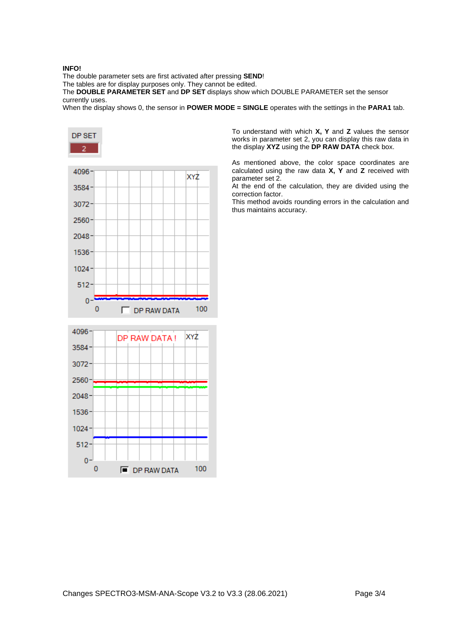#### **INFO!**

The double parameter sets are first activated after pressing **SEND**!

The tables are for display purposes only. They cannot be edited.

The **DOUBLE PARAMETER SET** and **DP SET** displays show which DOUBLE PARAMETER set the sensor currently uses.

When the display shows 0, the sensor in **POWER MODE = SINGLE** operates with the settings in the **PARA1** tab.



To understand with which **X, Y** and **Z** values the sensor works in parameter set 2, you can display this raw data in the display **XYZ** using the **DP RAW DATA** check box.

As mentioned above, the color space coordinates are calculated using the raw data **X, Y** and **Z** received with parameter set 2.

At the end of the calculation, they are divided using the correction factor.

This method avoids rounding errors in the calculation and thus maintains accuracy.